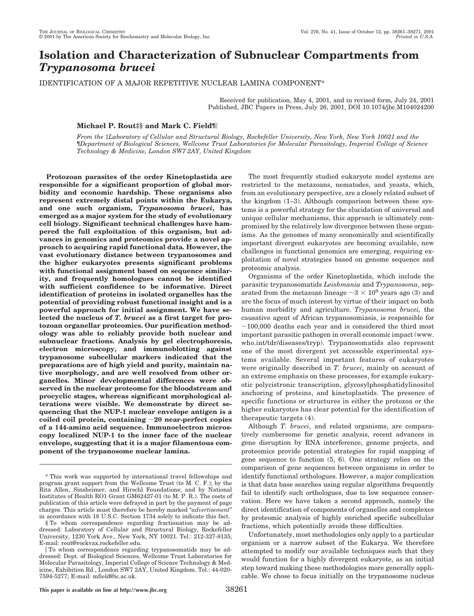# **Isolation and Characterization of Subnuclear Compartments from** *Trypanosoma brucei*

IDENTIFICATION OF A MAJOR REPETITIVE NUCLEAR LAMINA COMPONENT\*

Received for publication, May 4, 2001, and in revised form, July 24, 2001 Published, JBC Papers in Press, July 26, 2001, DOI 10.1074/jbc.M104024200

# **Michael P. Rout‡§ and Mark C. Field¶**

*From the* ‡*Laboratory of Cellular and Structural Biology, Rockefeller University, New York, New York 10021 and the* ¶*Department of Biological Sciences, Wellcome Trust Laboratories for Molecular Parasitology, Imperial College of Science Technology & Medicine, London SW7 2AY, United Kingdom*

**Protozoan parasites of the order Kinetoplastida are responsible for a significant proportion of global morbidity and economic hardship. These organisms also represent extremely distal points within the Eukarya, and one such organism,** *Trypanosoma brucei***, has emerged as a major system for the study of evolutionary cell biology. Significant technical challenges have hampered the full exploitation of this organism, but advances in genomics and proteomics provide a novel approach to acquiring rapid functional data. However, the vast evolutionary distance between trypanosomes and the higher eukaryotes presents significant problems with functional assignment based on sequence similarity, and frequently homologues cannot be identified with sufficient confidence to be informative. Direct identification of proteins in isolated organelles has the potential of providing robust functional insight and is a powerful approach for initial assignment. We have selected the nucleus of** *T. brucei* **as a first target for protozoan organellar proteomics. Our purification methodology was able to reliably provide both nuclear and subnuclear fractions. Analysis by gel electrophoresis, electron microscopy, and immunoblotting against trypanosome subcellular markers indicated that the preparations are of high yield and purity, maintain native morphology, and are well resolved from other organelles. Minor developmental differences were observed in the nuclear proteome for the bloodstream and procyclic stages, whereas significant morphological alterations were visible. We demonstrate by direct sequencing that the NUP-1 nuclear envelope antigen is a coiled coil protein, containing 20 near-perfect copies of a 144-amino acid sequence. Immunoelectron microscopy localized NUP-1 to the inner face of the nuclear envelope, suggesting that it is a major filamentous component of the trypanosome nuclear lamina.**

The most frequently studied eukaryote model systems are restricted to the metazoans, nematodes, and yeasts, which, from an evolutionary perspective, are a closely related subset of the kingdom (1–3). Although comparison between these systems is a powerful strategy for the elucidation of universal and unique cellular mechanisms, this approach is ultimately compromised by the relatively low divergence between these organisms. As the genomes of many economically and scientifically important divergent eukaryotes are becoming available, new challenges in functional genomics are emerging, requiring exploitation of novel strategies based on genome sequence and proteomic analysis.

Organisms of the order Kinetoplastida, which include the parasitic trypanosomatids *Leishmania* and *Trypanosoma*, separated from the metazoan lineage  $\sim$  3  $\times$  10<sup>9</sup> years ago (3) and are the focus of much interest by virtue of their impact on both human morbidity and agriculture. *Trypanosoma brucei,* the causative agent of African trypanosomiasis, is responsible for  $\sim$ 100,000 deaths each year and is considered the third most important parasitic pathogen in overall economic impact (www. who.int/tdr/diseases/tryp). Trypanosomatids also represent one of the most divergent yet accessible experimental systems available. Several important features of eukaryotes were originally described in *T. brucei*, mainly on account of an extreme emphasis on these processes, for example eukaryotic polycistronic transcription, glycosylphosphatidylinositol anchoring of proteins, and kinetoplastids. The presence of specific functions or structures in either the protozoa or the higher eukaryotes has clear potential for the identification of therapeutic targets (4).

Although *T. brucei*, and related organisms, are comparatively cumbersome for genetic analysis, recent advances in gene disruption by RNA interference, genome projects, and proteomics provide potential strategies for rapid mapping of gene sequence to function (5, 6). One strategy relies on the comparison of gene sequences between organisms in order to identify functional orthologues. However, a major complication is that data base searches using regular algorithms frequently fail to identify such orthologues, due to low sequence conservation. Here we have taken a second approach, namely the direct identification of components of organelles and complexes by proteomic analysis of highly enriched specific subcellular fractions, which potentially avoids these difficulties.

Unfortunately, most methodologies only apply to a particular organism or a narrow subset of the Eukarya. We therefore attempted to modify our available techniques such that they would function for a highly divergent eukaryote, as an initial step toward making these methodologies more generally applicable. We chose to focus initially on the trypanosome nucleus

<sup>\*</sup> This work was supported by international travel fellowships and program grant support from the Wellcome Trust (to M. C. F.); by the Rita Allen, Sinsheimer, and Hirschl Foundations; and by National Institutes of Health RO1 Grant GM62427-01 (to M. P. R.). The costs of publication of this article were defrayed in part by the payment of page charges. This article must therefore be hereby marked "*advertisement*" in accordance with 18 U.S.C. Section 1734 solely to indicate this fact.

<sup>§</sup> To whom correspondence regarding fractionation may be addressed: Laboratory of Cellular and Structural Biology, Rockefeller University, 1230 York Ave., New York, NY 10021. Tel.: 212-327-8135; E-mail: rout@rockvax.rockefeller.edu.

To whom correspondence regarding trypanosomatids may be addressed: Dept. of Biological Sciences, Wellcome Trust Laboratories for Molecular Parasitology, Imperial College of Science Technology & Medicine, Exhibition Rd., London SW7 2AY, United Kingdom. Tel.: 44-020- 7594-5277; E-mail: mfield@ic.ac.uk.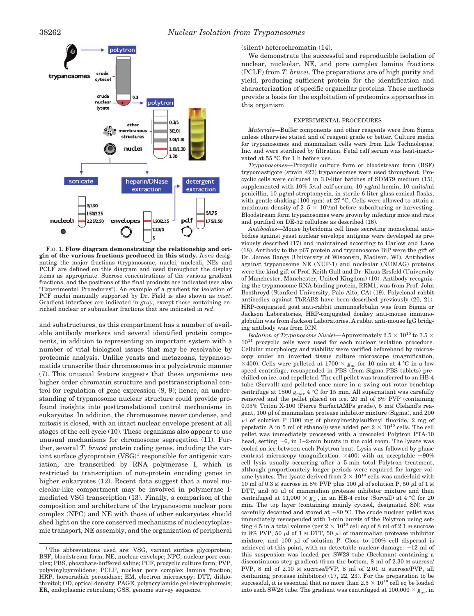

FIG. 1. **Flow diagram demonstrating the relationship and origin of the various fractions produced in this study.** *Icons* designating the major fractions (trypanosome, nuclei, nucleoli, NEs and PCLF are defined on this diagram and used throughout the display items as appropriate. Sucrose concentrations of the various gradient fractions, and the positions of the final products are indicated (see also "Experimental Procedures"). An example of a gradient for isolation of PCF nuclei manually supported by Dr. Field is also shown as *inset*. Gradient interfaces are indicated in *gray*, except those containing enriched nuclear or subnuclear fractions that are indicated in *red*.

and substructures, as this compartment has a number of available antibody markers and several identified protein components, in addition to representing an important system with a number of vital biological issues that may be resolvable by proteomic analysis. Unlike yeasts and metazoans, trypanosomatids transcribe their chromosomes in a polycistronic manner (7). This unusual feature suggests that these organisms use higher order chromatin structure and posttranscriptional control for regulation of gene expression (8, 9); hence, an understanding of trypanosome nuclear structure could provide profound insights into posttranslational control mechanisms in eukaryotes. In addition, the chromosomes never condense, and mitosis is closed, with an intact nuclear envelope present at all stages of the cell cycle (10). These organisms also appear to use unusual mechanisms for chromosome segregation (11). Further, several *T. brucei* protein coding genes, including the variant surface glycoprotein  $(VSG)^1$  responsible for antigenic variation, are transcribed by RNA polymerase I, which is restricted to transcription of non-protein encoding genes in higher eukaryotes (12). Recent data suggest that a novel nucleolar-like compartment may be involved in polymerase Imediated VSG transcription (13). Finally, a comparison of the composition and architecture of the trypanosome nuclear pore complex (NPC) and NE with those of other eukaryotes should shed light on the core conserved mechanisms of nucleocytoplasmic transport, NE assembly, and the organization of peripheral

# (silent) heterochromatin (14).

We demonstrate the successful and reproducible isolation of nuclear, nucleolar, NE, and pore complex lamina fractions (PCLF) from *T. brucei*. The preparations are of high purity and yield, producing sufficient protein for the identification and characterization of specific organellar proteins. These methods provide a basis for the exploitation of proteomics approaches in this organism.

## EXPERIMENTAL PROCEDURES

*Materials—*Buffer components and other reagents were from Sigma unless otherwise stated and of reagent grade or better. Culture media for trypanosomes and mammalian cells were from Life Technologies, Inc. and were sterilized by filtration. Fetal calf serum was heat-inactivated at 55 °C for 1 h before use.

*Trypanosomes—*Procyclic culture form or bloodstream form (BSF) trypomastigote (strain 427) trypanosomes were used throughout. Procyclic cells were cultured in 3.0-liter batches of SDM79 medium (15), supplemented with  $10\%$  fetal calf serum,  $10 \mu\text{g/ml hemin}$ ,  $10 \text{ units/ml}$ penicillin,  $10 \mu g/ml$  streptomycin, in sterile 6-liter glass conical flasks, with gentle shaking (100 rpm) at 27 °C. Cells were allowed to attain a maximum density of  $2-5 \times 10^7$ /ml before subculturing or harvesting. Bloodstream form trypanosomes were grown by infecting mice and rats and purified on DE-52 cellulose as described (16).

*Antibodies—*Mouse hybridoma cell lines secreting monoclonal antibodies against yeast nuclear envelope antigens were developed as previously described (17) and maintained according to Harlow and Lane (18). Antibody to the p67 protein and trypanosome BiP were the gift of Dr. James Bangs (University of Wisconsin, Madison, WI). Antibodies against trypanosome NE (NUP-1) and nucleolar (NUMAG) proteins were the kind gift of Prof. Keith Gull and Dr. Klaus Ersfeld (University of Manchester, Manchester, United Kingdom) (10). Antibody recognizing the trypanosome RNA-binding protein, RRM1, was from Prof. John Boothroyd (Stanford University, Palo Alto, CA) (19). Polyclonal rabbit antibodies against TbRAB2 have been described previously (20, 21). HRP-conjugated goat anti-rabbit immunoglobulin was from Sigma or Jackson Laboratories, HRP-conjugated donkey anti-mouse immunoglobulin was from Jackson Laboratories. A rabbit anti-mouse IgG bridging antibody was from ICN.

 $\emph{Isolation of Trypanosome Nuclei—Approximately 2.5}\times 10^{10}$  to  $7.5\times 10^{10}$  $10^{11}$  procyclic cells were used for each nuclear isolation procedure. Cellular morphology and viability were verified beforehand by microscopy under an inverted tissue culture microscope (magnification,  $\times$ 400). Cells were pelleted at 1700  $\times g_{av}$  for 10 min at 4 °C in a low speed centrifuge, resuspended in PBS (from Sigma PBS tablets) prechilled on ice, and repelleted. The cell pellet was transferred to an HB-4 tube (Sorvall) and pelleted once more in a swing out rotor benchtop centrifuge at 1800  $g_{max}$  4 °C for 15 min. All supernatant was carefully removed and the pellet placed on ice. 20 ml of 8% PVP (containing 0.05% Triton X-100 (Pierce SurfactAMPs grade), 5 mM Cleland's reagent,  $100 \mu$  of mammalian protease inhibitor mixture (Sigma), and 200  $\mu$ l of solution P (100 mg of phenylmethylsulfonyl fluoride, 2 mg of pepstatin A in 5 ml of ethanol)) was added per  $2 \times 10^{10}$  cells. The cell pellet was immediately processed with a precooled Polytron PTA-10 head, setting  $\sim$ 6, in 1–2-min bursts in the cold room. The lysate was cooled on ice between each Polytron bout. Lysis was followed by phase contrast microscopy (magnification.  $\times 400$ ) with an acceptable  $\sim 90\%$ cell lysis usually occurring after a 5-min total Polytron treatment, although proportionately longer periods were required for larger volume lysates. The lysate derived from  $2 \times 10^{10}$  cells was underlaid with 10 ml of 0.3 M sucrose in 8% PVP plus 100  $\mu$ l of solution P, 50  $\mu$ l of 1 M DTT, and 50  $\mu$ l of mammalian protease inhibitor mixture and then centrifuged at  $11,000 \times g_{av}$ , in an HB-4 rotor (Sorvall) at 4 °C for 20 min. The top layer (containing mainly cytosol, designated SN) was carefully decanted and stored at  $-80$  °C. The crude nuclear pellet was immediately resuspended with 1-min bursts of the Polytron using setting 4.5 in a total volume (per  $2 \times 10^{10}$  cell eq) of 8 ml of 2.1 M sucrose in 8% PVP, 50  $\mu$ l of 1 M DTT, 50  $\mu$ l of mammalian protease inhibitor mixture, and 100  $\mu$ l of solution P. Close to 100% cell dispersal is achieved at this point, with no detectable nuclear damage.  $\sim$ 12 ml of this suspension was loaded per SW28 tube (Beckman) containing a discontinuous step gradient (from the bottom, 8 ml of 2.30 M sucrose/ PVP, 8 ml of 2.10 M sucrose/PVP, 8 ml of 2.01 M sucrose/PVP, all containing protease inhibitors) (17, 22, 23). For the preparation to be successful, it is essential that no more than  $2.5 \times 10^{10}$  cell eq be loaded into each SW28 tube. The gradient was centrifuged at  $100{,}000 \times g_{\rm av}$ , in

<sup>&</sup>lt;sup>1</sup> The abbreviations used are: VSG, variant surface glycoprotein; BSF, bloodstream form; NE, nuclear envelope; NPC, nuclear pore complex; PBS, phosphate-buffered saline; PCF, procyclic culture form; PVP, polyvinylpyrrolidone; PCLF, nuclear pore complex lamina fraction; HRP, horseradish peroxidase; EM, electron microscopy; DTT, dithiothreitol; OD, optical density; PAGE, polyacrylamide gel electrophoresis; ER, endoplasmic reticulum; GSS, genome survey sequence.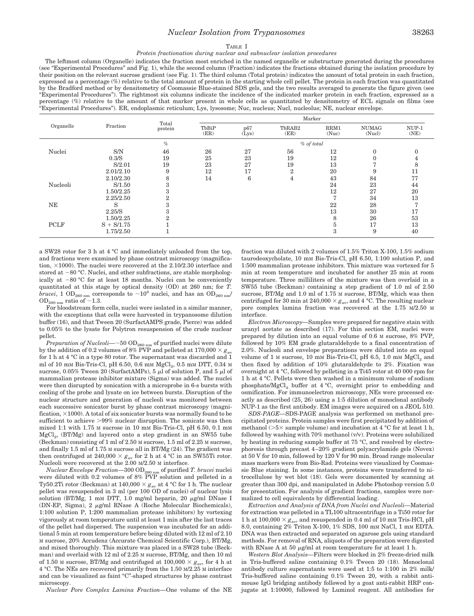# *Nuclear Isolation from Trypanosomes* 38263

#### TABLE I

## *Protein fractionation during nuclear and subnuclear isolation procedures*

The leftmost column (Organelle) indicates the fraction most enriched in the named organelle or substructure generated during the procedures (see "Experimental Procedures" and Fig. 1), while the second column (Fraction) indicates the fractions obtained during the isolation procedure by their position on the relevant sucrose gradient (see Fig. 1). The third column (Total protein) indicates the amount of total protein in each fraction, expressed as a percentage (%) relative to the total amount of protein in the starting whole cell pellet. The protein in each fraction was quantitated by the Bradford method or by densitometry of Coomassie Blue-stained SDS gels, and the two results averaged to generate the figure given (see "Experimental Procedures"). The rightmost six columns indicate the incidence of the indicated marker protein in each fraction, expressed as a percentage (%) relative to the amount of that marker present in whole cells as quantitated by densitometry of ECL signals on films (see "Experimental Procedures"). ER, endoplasmic reticulum; Lys, lysosome; Nuc, nucleus; Nucl, nucleolus; NE, nuclear envelope.

| Organelle   | Fraction     | Total<br>protein | Marker        |              |                            |               |                        |                 |  |
|-------------|--------------|------------------|---------------|--------------|----------------------------|---------------|------------------------|-----------------|--|
|             |              |                  | TbBiP<br>(ER) | p67<br>(Lys) | TbRAB <sub>2</sub><br>(ER) | RRM1<br>(Nuc) | <b>NUMAG</b><br>(Nucl) | $NUP-1$<br>(NE) |  |
|             |              | $\%$             |               | % of total   |                            |               |                        |                 |  |
| Nuclei      | S/N          | 46               | 26            | 27           | 56                         | 12            | $\Omega$               |                 |  |
|             | 0.3/S        | 19               | 25            | 23           | 19                         | 12            |                        |                 |  |
|             | S/2.01       | 19               | 23            | 27           | 19                         | 13            |                        | 8               |  |
|             | 2.01/2.10    | 9                | 12            | 17           | $\overline{2}$             | 20            | 9                      | 11              |  |
|             | 2.10/2.30    | 8                | 14            | 6            | 4                          | 43            | 84                     | 77              |  |
| Nucleoli    | S/1.50       | 3                |               |              |                            | 24            | 23                     | 44              |  |
|             | 1.50/2.25    | 3                |               |              |                            | 12            | 27                     | 20              |  |
|             | 2.25/2.50    | $\overline{2}$   |               |              |                            | 7             | 34                     | 13              |  |
| NE          | S            | 3                |               |              |                            | 22            | 28                     | ┍               |  |
|             | 2.25/S       | 3                |               |              |                            | 13            | 30                     | 17              |  |
|             | 1.50/2.25    | $\mathcal{D}$    |               |              |                            | 8             | 26                     | 53              |  |
| <b>PCLF</b> | $S + S/1.75$ |                  |               |              |                            | 5             | 17                     | 13              |  |
|             | 1.75/2.50    |                  |               |              |                            | 3             | 9                      | 40              |  |

a SW28 rotor for 3 h at 4 °C and immediately unloaded from the top, and fractions were examined by phase contrast microscopy (magnification,  $\times$ 1000). The nuclei were recovered at the 2.10/2.30 interface and stored at  $-80$  °C. Nuclei, and other subfractions, are stable morphologically at  $-80$  °C for at least 18 months. Nuclei can be conveniently quantitated at this stage by optical density (OD) at 260 nm; for *T. brucei*, 1 OD<sub>260 nm</sub> corresponds to  $\sim$  10<sup>8</sup> nuclei, and has an OD<sub>260 nm</sub>/  $OD_{280 \text{ nm}}$  ratio of  $\sim$ 1.3.

For bloodstream form cells, nuclei were isolated in a similar manner, with the exceptions that cells were harvested in trypanosome dilution buffer (16), and that Tween 20 (SurfactAMPS grade, Pierce) was added to 0.05% to the lysate for Polytron resuspension of the crude nuclear pellet.

*Preparation of Nucleoli*—~50 OD<sub>260 nm</sub> of purified nuclei were dilute by the addition of 0.2 volumes of 8% PVP and pelleted at 170,000  $\times g_{\text{av}}$ for 1 h at 4 °C in a type 80 rotor. The supernatant was discarded and 1 ml of 10 mm Bis-Tris-Cl, pH 6.50, 0.6 mm MgCl<sub>2</sub>, 0.5 mm DTT, 0.34 m sucrose, 0.05% Tween 20 (SurfactAMPs), 5  $\mu$ l of solution P, and 5  $\mu$ l of mammalian protease inhibitor mixture (Sigma) was added. The nuclei were then disrupted by sonication with a microprobe in 6-s bursts with cooling of the probe and lysate on ice between bursts. Disruption of the nuclear structure and generation of nucleoli was monitored between each successive sonicator burst by phase contrast microscopy (magnification,  $\times$ 1000). A total of six sonicator bursts was normally found to be sufficient to achieve >99% nuclear disruption. The sonicate was then mixed 1:1 with 1.75 M sucrose in 10 mM Bis-Tris-Cl, pH 6.50, 0.1 mM  $MgCl<sub>2</sub>$ , (BT/Mg) and layered onto a step gradient in an SW55 tube (Beckman) consisting of 1 ml of 2.50 M sucrose, 1.5 ml of 2.25 M sucrose, and finally 1.5 ml of 1.75 M sucrose all in BT/Mg (24). The gradient was then centrifuged at  $240,000 \times g_{\text{av}}$  for 2 h at 4 °C in an SW55Ti rotor. Nucleoli were recovered at the 2.00 M/2.50 M interface.

*Nuclear Envelope Fraction*—300 OD<sub>260 nm</sub> of purified *T. brucei* nuclei<br>were diluted with 0.2 volumes of 8% PVP solution and pelleted in a Ty50.2Ti rotor (Beckman) at 140,000  $\times$   $g_{\rm av}$  at 4 °C for 1 h. The nuclear pellet was resuspended in 3 ml (per 100 OD of nuclei) of nuclear lysis solution (BT/Mg, 1 mm DTT, 1.0 mg/ml heparin, 20  $\mu$ g/ml DNase I (DN-EP, Sigma),  $2 \mu g/ml$  RNase A (Roche Molecular Biochemicals), 1:100 solution P, 1:200 mammalian protease inhibitors) by vortexing vigorously at room temperature until at least 1 min after the last traces of the pellet had dispersed. The suspension was incubated for an additional 5 min at room temperature before being diluted with 12 ml of 2.10 M sucrose, 20% Accudenz (Accurate Chemical Scientific Corp.), BT/Mg, and mixed thoroughly. This mixture was placed in a SW28 tube (Beckman) and overlaid with 12 ml of 2.25 M sucrose, BT/Mg, and then 10 ml of 1.50  $\text{M}$  sucrose, BT/Mg and centrifuged at 100,000  $\times$   $g_{\text{av}}$ , for 4 h at 4 °C. The NEs are recovered primarily from the 1.50 M/2.25 M interface and can be visualized as faint "C"-shaped structures by phase contrast microscopy.

*Nuclear Pore Complex Lamina Fraction—*One volume of the NE

fraction was diluted with 2 volumes of 1.5% Triton X-100, 1.5% sodium taurodeoxycholate, 10 mM Bis-Tris-Cl, pH 6.50, 1:100 solution P, and 1:500 mammalian protease inhibitors. This mixture was vortexed for 5 min at room temperature and incubated for another 25 min at room temperature. Three milliliters of the mixture was then overlaid in a SW55 tube (Beckman) containing a step gradient of 1.0 ml of 2.50 sucrose, BT/Mg and 1.0 ml of 1.75 M sucrose, BT/Mg, which was then centrifuged for 30 min at 240,000  $\times$   $g_{\rm av}$ , and 4 °C. The resulting nuclear pore complex lamina fraction was recovered at the 1.75 M/2.50 M interface.

*Electron Microscopy—*Samples were prepared for negative stain with uranyl acetate as described (17). For thin section EM, nuclei were prepared by dilution into an equal volume of 0.6 M sucrose, 8% PVP, followed by 10% EM grade glutaraldehyde to a final concentration of 2.0%. Nucleoli and envelope preparations were diluted into an equal volume of 1  $\text{M}$  sucrose, 10  $\text{m}$ M Bis-Tris-Cl, pH 6.5, 1.0  $\text{m}$ M MgCl<sub>2</sub> and then fixed by addition of 10% glutaraldehyde to 2%. Fixation was overnight at 4 °C, followed by pelleting in a Ti45 rotor at 40 000 rpm for 1 h at 4 °C. Pellets were then washed in a minimum volume of sodium phosphate/MgCl<sub>2</sub> buffer at  $4 °C$ , overnight prior to embedding and osmification. For immunoelectron microscopy, NEs were processed exactly as described (25, 26) using a 1:5 dilution of monoclonal antibody NUP-1 as the first antibody. EM images were acquired on a JEOL 510.

*SDS-PAGE—*SDS-PAGE analysis was performed on methanol precipitated proteins. Protein samples were first precipitated by addition of methanol ( $>5\times$  sample volume) and incubation at 4 °C for at least 1 h, followed by washing with 70% methanol (v/v). Proteins were solubilized by heating in reducing sample buffer at 75 °C, and resolved by electrophoresis through precast 4–20% gradient polyacrylamide gels (Novex) at 50 V for 10 min, followed by 120 V for 90 min. Broad range molecular mass markers were from Bio-Rad. Proteins were visualized by Coomassie Blue staining. In some instances, proteins were transferred to nitrocellulose by wet blot (18). Gels were documented by scanning at greater than 300 dpi, and manipulated in Adobe Photoshop version 5.0 for presentation. For analysis of gradient fractions, samples were normalized to cell equivalents by differential loading.

*Extraction and Analysis of DNA from Nuclei and Nucleoli—*Material for extraction was pelleted in a TL100 ultracentrifuge in a Ti50 rotor for  $1\ \text{h}$  at  $100{,}000\times g_{\text{av}}$ , and resuspended in 0.4 ml of 10 mm Tris-HCl, pH 8.0, containing 2% Triton X-100, 1% SDS, 100 mM NaCl, 1 mM EDTA. DNA was then extracted and separated on agarose gels using standard methods. For removal of RNA, aliquots of the preparation were digested with RNase A at 50  $\mu$ g/ml at room temperature for at least 1 h.

*Western Blot Analysis—*Filters were blocked in 2% freeze-dried milk in Tris-buffered saline containing 0.1% Tween 20 (18). Monoclonal antibody culture supernatants were used at 1:5 to 1:100 in 2% milk/ Tris-buffered saline containing 0.1% Tween 20, with a rabbit antimouse IgG bridging antibody followed by a goat anti-rabbit HRP conjugate at 1:10000, followed by Luminol reagent. All antibodies for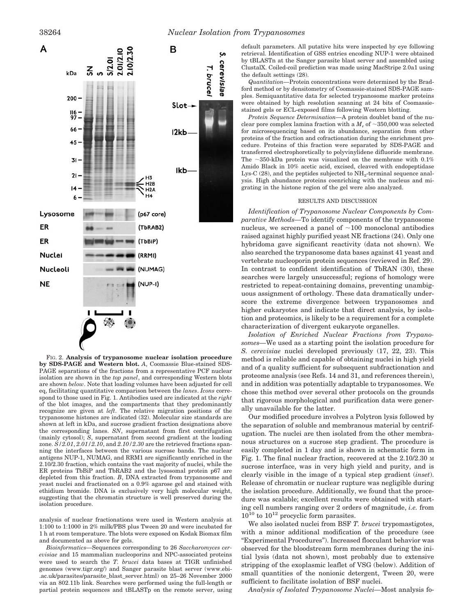

FIG. 2. **Analysis of trypanosome nuclear isolation procedure by SDS-PAGE and Western blot.** *A*, Coomassie Blue-stained SDS-PAGE separations of the fractions from a representative PCF nuclear isolation are shown in the *top panel*, and corresponding Western blots are shown *below*. Note that loading volumes have been adjusted for cell eq, facilitating quantitative comparison between the *lanes*. *Icons* correspond to those used in Fig. 1. Antibodies used are indicated at the *right* of the blot images, and the compartments that they predominantly recognize are given at *left*. The relative migration positions of the trypanosome histones are indicated (32). Molecular size standards are shown at left in kDa, and sucrose gradient fraction designations above the corresponding lanes. *SN*, supernatant from first centrifugation (mainly cytosol); *S*, supernatant from second gradient at the loading zone. *S/2.01*, *2.01/2.10*, and *2.10/2.30* are the retrieved fractions spanning the interfaces between the various sucrose bands. The nuclear antigens NUP-1, NUMAG, and RRM1 are significantly enriched in the 2.10/2.30 fraction, which contains the vast majority of nuclei, while the ER proteins TbBiP and TbRAB2 and the lysosomal protein p67 are depleted from this fraction. *B*, DNA extracted from trypanosome and yeast nuclei and fractionated on a 0.9% agarose gel and stained with ethidium bromide. DNA is exclusively very high molecular weight, suggesting that the chromatin structure is well preserved during the isolation procedure.

analysis of nuclear fractionations were used in Western analysis at 1:100 to 1:1000 in 2% milk/PBS plus Tween 20 and were incubated for 1 h at room temperature. The blots were exposed on Kodak Biomax film and documented as above for gels.

*Bioinformatics—*Sequences corresponding to 26 *Saccharomyces cerevisiae* and 15 mammalian nucleoporins and NPC-associated proteins were used to search the *T. brucei* data bases at TIGR unfinished genomes (www.tigr.org/) and Sanger parasite blast server (www.ebi- .ac.uk/parasites/parasite\_blast\_server.html) on 25–26 November 2000 via an 802.11b link. Searches were performed using the full-length or partial protein sequences and tBLASTp on the remote server, using default parameters. All putative hits were inspected by eye following retrieval. Identification of GSS entries encoding NUP-1 were obtained by tBLASTn at the Sanger parasite blast server and assembled using ClustalX. Coiled-coil prediction was made using MacStripe 2.0a1 using the default settings (28).

*Quantitation—*Protein concentrations were determined by the Bradford method or by densitometry of Coomassie-stained SDS-PAGE samples. Semiquantitative data for selected trypanosome marker proteins were obtained by high resolution scanning at 24 bits of Coomassiestained gels or ECL-exposed films following Western blotting.

*Protein Sequence Determination—*A protein doublet band of the nuclear pore complex lamina fraction with a  $M_r$  of  $\sim$ 350,000 was selected for microsequencing based on its abundance, separation from other proteins of the fraction and cofractionation during the enrichment procedure. Proteins of this fraction were separated by SDS-PAGE and transferred electrophoretically to polyvinylidene difluoride membrane. The  $\sim$ 350-kDa protein was visualized on the membrane with 0.1% Amido Black in 10% acetic acid, excised, cleaved with endopeptidase Lys-C (28), and the peptides subjected to  $NH_2$ -terminal sequence analysis. High abundance proteins coenriching with the nucleus and migrating in the histone region of the gel were also analyzed.

## RESULTS AND DISCUSSION

*Identification of Trypanosome Nuclear Components by Comparative Methods—*To identify components of the trypanosome nucleus, we screened a panel of  $\sim$ 100 monoclonal antibodies raised against highly purified yeast NE fractions (24). Only one hybridoma gave significant reactivity (data not shown). We also searched the trypanosome data bases against 41 yeast and vertebrate nucleoporin protein sequences (reviewed in Ref. 29). In contrast to confident identification of TbRAN (30), these searches were largely unsuccessful; regions of homology were restricted to repeat-containing domains, preventing unambiguous assignment of orthology. These data dramatically underscore the extreme divergence between trypanosomes and higher eukaryotes and indicate that direct analysis, by isolation and proteomics, is likely to be a requirement for a complete characterization of divergent eukaryote organelles.

*Isolation of Enriched Nuclear Fractions from Trypanosomes—*We used as a starting point the isolation procedure for *S. cerevisiae* nuclei developed previously (17, 22, 23). This method is reliable and capable of obtaining nuclei in high yield and of a quality sufficient for subsequent subfractionation and proteome analysis (see Refs. 14 and 31, and references therein), and in addition was potentially adaptable to trypanosomes. We chose this method over several other protocols on the grounds that rigorous morphological and purification data were generally unavailable for the latter.

Our modified procedure involves a Polytron lysis followed by the separation of soluble and membranous material by centrifugation. The nuclei are then isolated from the other membranous structures on a sucrose step gradient. The procedure is easily completed in 1 day and is shown in schematic form in Fig. 1. The final nuclear fraction, recovered at the 2.10/2.30 M sucrose interface, was in very high yield and purity, and is clearly visible in the image of a typical step gradient (*inset*). Release of chromatin or nuclear rupture was negligible during the isolation procedure. Additionally, we found that the procedure was scalable; excellent results were obtained with starting cell numbers ranging over 2 orders of magnitude, *i.e.* from  $10^{10}$  to  $10^{12}$  procyclic form parasites.

We also isolated nuclei from BSF *T. brucei* trypomastigotes, with a minor additional modification of the procedure (see "Experimental Procedures"). Increased flocculant behavior was observed for the bloodstream form membranes during the initial lysis (data not shown), most probably due to extensive stripping of the exoplasmic leaflet of VSG (below). Addition of small quantities of the nonionic detergent, Tween 20, were sufficient to facilitate isolation of BSF nuclei.

*Analysis of Isolated Trypanosome Nuclei—*Most analysis fo-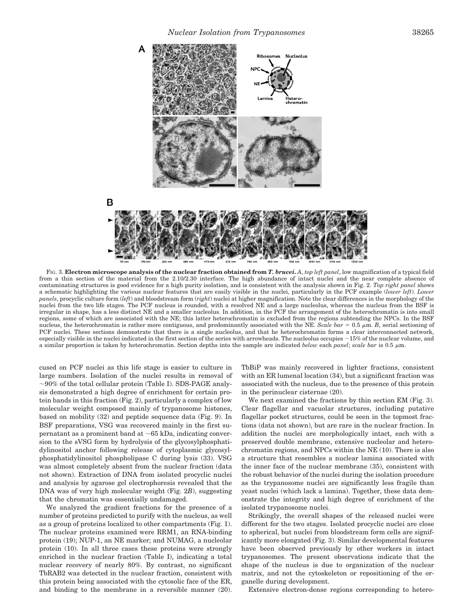

FIG. 3. **Electron microscope analysis of the nuclear fraction obtained from** *T. brucei***.** *A*, *top left panel*, low magnification of a typical field from a thin section of the material from the 2.10/2.30 interface. The high abundance of intact nuclei and the near complete absence of contaminating structures is good evidence for a high purity isolation, and is consistent with the analysis shown in Fig. 2. *Top right panel* shows a schematic highlighting the various nuclear features that are easily visible in the nuclei, particularly in the PCF example (*lower left*). *Lower panels*, procyclic culture form (*left*) and bloodstream form (*right*) nuclei at higher magnification. Note the clear differences in the morphology of the nuclei from the two life stages. The PCF nucleus is rounded, with a resolved NE and a large nucleolus, whereas the nucleus from the BSF is irregular in shape, has a less distinct NE and a smaller nucleolus. In addition, in the PCF the arrangement of the heterochromatin is into small regions, some of which are associated with the NE; this latter heterochromatin is excluded from the regions subtending the NPCs. In the BSF nucleus, the heterochromatin is rather more contiguous, and predominantly associated with the NE. *Scale bar* = 0.5  $\mu$ m. *B*, serial sectioning of PCF nuclei. These sections demonstrate that there is a single nucleolus, and that he heterochromatin forms a clear interconnected network, especially visible in the nuclei indicated in the first section of the series with arrowheads. The nucleolus occupies  $\sim$ 15% of the nuclear volume, and a similar proportion is taken by heterochromatin. Section depths into the sample are indicated *below* each *panel*; *scale bar* is 0.5 m.

cused on PCF nuclei as this life stage is easier to culture in large numbers. Isolation of the nuclei results in removal of  $\sim$ 90% of the total cellular protein (Table I). SDS-PAGE analysis demonstrated a high degree of enrichment for certain protein bands in this fraction (Fig. 2), particularly a complex of low molecular weight composed mainly of trypanosome histones, based on mobility (32) and peptide sequence data (Fig. 9). In BSF preparations, VSG was recovered mainly in the first supernatant as a prominent band at  $\sim 65$  kDa, indicating conversion to the sVSG form by hydrolysis of the glycosylphosphatidylinositol anchor following release of cytoplasmic glycosylphosphatidylinositol phospholipase C during lysis (33). VSG was almost completely absent from the nuclear fraction (data not shown). Extraction of DNA from isolated procyclic nuclei and analysis by agarose gel electrophoresis revealed that the DNA was of very high molecular weight (Fig. 2*B*), suggesting that the chromatin was essentially undamaged.

We analyzed the gradient fractions for the presence of a number of proteins predicted to purify with the nucleus, as well as a group of proteins localized to other compartments (Fig. 1). The nuclear proteins examined were RRM1, an RNA-binding protein (19); NUP-1, an NE marker; and NUMAG, a nucleolar protein (10). In all three cases these proteins were strongly enriched in the nuclear fraction (Table I), indicating a total nuclear recovery of nearly 80%. By contrast, no significant TbRAB2 was detected in the nuclear fraction, consistent with this protein being associated with the cytosolic face of the ER, and binding to the membrane in a reversible manner (20). TbBiP was mainly recovered in lighter fractions, consistent with an ER lumenal location (34), but a significant fraction was associated with the nucleus, due to the presence of this protein in the perinuclear cisternae (20).

We next examined the fractions by thin section EM (Fig. 3). Clear flagellar and vacuolar structures, including putative flagellar pocket structures, could be seen in the topmost fractions (data not shown), but are rare in the nuclear fraction. In addition the nuclei are morphologically intact, each with a preserved double membrane, extensive nucleolar and heterochromatin regions, and NPCs within the NE (10). There is also a structure that resembles a nuclear lamina associated with the inner face of the nuclear membrane (35), consistent with the robust behavior of the nuclei during the isolation procedure as the trypanosome nuclei are significantly less fragile than yeast nuclei (which lack a lamina). Together, these data demonstrate the integrity and high degree of enrichment of the isolated trypanosome nuclei.

Strikingly, the overall shapes of the released nuclei were different for the two stages. Isolated procyclic nuclei are close to spherical, but nuclei from bloodstream form cells are significantly more elongated (Fig. 3). Similar developmental features have been observed previously by other workers in intact trypanosomes. The present observations indicate that the shape of the nucleus is due to organization of the nuclear matrix, and not the cytoskeleton or repositioning of the organelle during development.

Extensive electron-dense regions corresponding to hetero-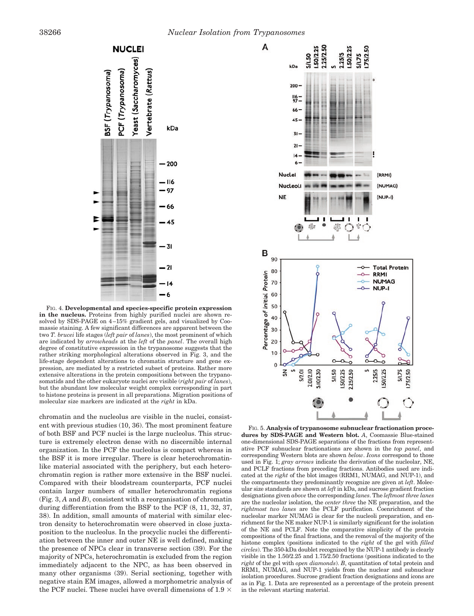

FIG. 4. **Developmental and species-specific protein expression in the nucleus.** Proteins from highly purified nuclei are shown resolved by SDS-PAGE on 4–15% gradient gels, and visualized by Coomassie staining. A few significant differences are apparent between the two *T. brucei* life stages (*left pair* of *lanes*), the most prominent of which are indicated by *arrowheads* at the *left* of the *panel*. The overall high degree of constitutive expression in the trypanosome suggests that the rather striking morphological alterations observed in Fig. 3, and the life-stage dependent alterations to chromatin structure and gene expression, are mediated by a restricted subset of proteins. Rather more extensive alterations in the protein compositions between the trypanosomatids and the other eukaryote nuclei are visible (*right pair* of *lanes*), but the abundant low molecular weight complex corresponding in part to histone proteins is present in all preparations. Migration positions of molecular size markers are indicated at the *right* in kDa.

chromatin and the nucleolus are visible in the nuclei, consistent with previous studies (10, 36). The most prominent feature of both BSF and PCF nuclei is the large nucleolus. This structure is extremely electron dense with no discernible internal organization. In the PCF the nucleolus is compact whereas in the BSF it is more irregular. There is clear heterochromatinlike material associated with the periphery, but each heterochromatin region is rather more extensive in the BSF nuclei. Compared with their bloodstream counterparts, PCF nuclei contain larger numbers of smaller heterochromatin regions (Fig. 3, *A* and *B*), consistent with a reorganisation of chromatin during differentiation from the BSF to the PCF (8, 11, 32, 37, 38). In addition, small amounts of material with similar electron density to heterochromatin were observed in close juxtaposition to the nucleolus. In the procyclic nuclei the differentiation between the inner and outer NE is well defined, making the presence of NPCs clear in transverse section (39). For the majority of NPCs, heterochromatin is excluded from the region immediately adjacent to the NPC, as has been observed in many other organisms (39). Serial sectioning, together with negative stain EM images, allowed a morphometric analysis of the PCF nuclei. These nuclei have overall dimensions of  $1.9 \times$ 



FIG. 5. **Analysis of trypanosome subnuclear fractionation procedures by SDS-PAGE and Western blot.** *A*, Coomassie Blue-stained one-dimensional SDS-PAGE separations of the fractions from representative PCF subnuclear fractionations are shown in the *top panel*, and corresponding Western blots are shown *below*. *Icons* correspond to those used in Fig. 1; *gray arrows* indicate the derivation of the nucleolar, NE, and PCLF fractions from preceding fractions. Antibodies used are indicated at the *right* of the blot images (RRM1, NUMAG, and NUP-1), and the compartments they predominantly recognize are given at *left*. Molecular size standards are shown at *left* in kDa, and sucrose gradient fraction designations given *above* the corresponding *lanes*. The *leftmost three lanes* are the nucleolar isolation, the *center three* the NE preparation, and the *rightmost two lanes* are the PCLF purification. Coenrichment of the nucleolar marker NUMAG is clear for the nucleoli preparation, and enrichment for the NE maker NUP-1 is similarly significant for the isolation of the NE and PCLF. Note the comparative simplicity of the protein compositions of the final fractions, and the removal of the majority of the histone complex (positions indicated to the *right* of the gel with *filled circles*). The 350-kDa doublet recognized by the NUP-1 antibody is clearly visible in the 1.50/2.25 and 1.75/2.50 fractions (positions indicated to the *right* of the gel with *open diamonds*). *B*, quantitation of total protein and RRM1, NUMAG, and NUP-1 yields from the nuclear and subnuclear isolation procedures. Sucrose gradient fraction designations and icons are as in Fig. 1. Data are represented as a percentage of the protein present in the relevant starting material.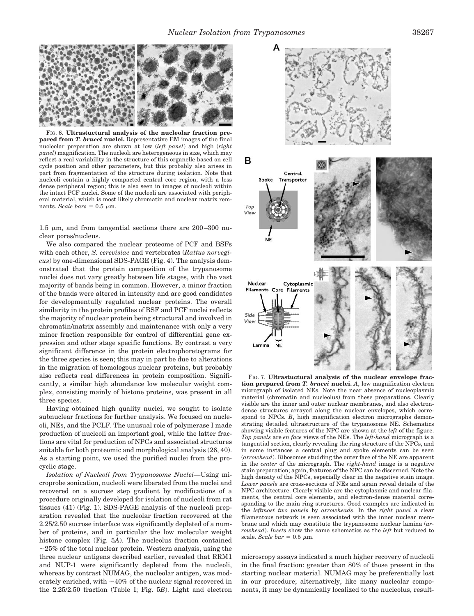

FIG. 6. **Ultrastuctural analysis of the nucleolar fraction prepared from** *T. brucei* **nuclei.** Representative EM images of the final nucleolar preparation are shown at low (*left panel*) and high (*right panel*) magnification. The nucleoli are heterogeneous in size, which may reflect a real variability in the structure of this organelle based on cell cycle position and other parameters, but this probably also arises in part from fragmentation of the structure during isolation. Note that nucleoli contain a highly compacted central core region, with a less dense peripheral region; this is also seen in images of nucleoli within the intact PCF nuclei. Some of the nucleoli are associated with peripheral material, which is most likely chromatin and nuclear matrix remnants. *Scale bars* =  $0.5 \mu m$ .

1.5  $\mu$ m, and from tangential sections there are 200–300 nuclear pores/nucleus.

We also compared the nuclear proteome of PCF and BSFs with each other, *S. cerevisiae* and vertebrates (*Rattus norvegicus*) by one-dimensional SDS-PAGE (Fig. 4). The analysis demonstrated that the protein composition of the trypanosome nuclei does not vary greatly between life stages, with the vast majority of bands being in common. However, a minor fraction of the bands were altered in intensity and are good candidates for developmentally regulated nuclear proteins. The overall similarity in the protein profiles of BSF and PCF nuclei reflects the majority of nuclear protein being structural and involved in chromatin/matrix assembly and maintenance with only a very minor fraction responsible for control of differential gene expression and other stage specific functions. By contrast a very significant difference in the protein electrophoretograms for the three species is seen; this may in part be due to alterations in the migration of homologous nuclear proteins, but probably also reflects real differences in protein composition. Significantly, a similar high abundance low molecular weight complex, consisting mainly of histone proteins, was present in all three species.

Having obtained high quality nuclei, we sought to isolate subnuclear fractions for further analysis. We focused on nucleoli, NEs, and the PCLF. The unusual role of polymerase I made production of nucleoli an important goal, while the latter fractions are vital for production of NPCs and associated structures suitable for both proteomic and morphological analysis (26, 40). As a starting point, we used the purified nuclei from the procyclic stage.

*Isolation of Nucleoli from Trypanosome Nuclei—*Using microprobe sonication, nucleoli were liberated from the nuclei and recovered on a sucrose step gradient by modifications of a procedure originally developed for isolation of nucleoli from rat tissues (41) (Fig. 1). SDS-PAGE analysis of the nucleoli preparation revealed that the nucleolar fraction recovered at the 2.25/2.50 sucrose interface was significantly depleted of a number of proteins, and in particular the low molecular weight histone complex (Fig. 5*A*). The nucleolus fraction contained  $\sim$ 25% of the total nuclear protein. Western analysis, using the three nuclear antigens described earlier, revealed that RRM1 and NUP-1 were significantly depleted from the nucleoli, whereas by contrast NUMAG, the nucleolar antigen, was moderately enriched, with  $\sim 40\%$  of the nuclear signal recovered in the 2.25/2.50 fraction (Table I; Fig. 5*B*). Light and electron



FIG. 7. **Ultrastuctural analysis of the nuclear envelope fraction prepared from** *T. brucei* **nuclei.** *A*, low magnification electron micrograph of isolated NEs. Note the near absence of nucleoplasmic material (chromatin and nucleolus) from these preparations. Clearly visible are the inner and outer nuclear membranes, and also electrondense structures arrayed along the nuclear envelopes, which correspond to NPCs. *B*, high magnification electron micrographs demonstrating detailed ultrastructure of the trypanosome NE. Schematics showing visible features of the NPC are shown at the *left* of the figure. *Top panels* are *en face* views of the NEs. The *left-hand* micrograph is a tangential section, clearly revealing the ring structure of the NPCs, and in some instances a central plug and spoke elements can be seen (*arrowhead*). Ribosomes studding the outer face of the NE are apparent in the *center* of the micrograph. The *right-hand* image is a negative stain preparation; again, features of the NPC can be discerned. Note the high density of the NPCs, especially clear in the negative stain image. *Lower panels* are cross-sections of NEs and again reveal details of the NPC architecture. Clearly visible are the cytoplasmic and nuclear filaments, the central core elements, and electron-dense material corresponding to the main ring structures. Good examples are indicated in the *leftmost two panels* by *arrowheads*. In the *right panel* a clear filamentous network is seen associated with the inner nuclear membrane and which may constitute the trypanosome nuclear lamina (*arrowhead*). *Insets* show the same schematics as the *left* but reduced to scale. *Scale bar* =  $0.5 \mu m$ .

microscopy assays indicated a much higher recovery of nucleoli in the final fraction: greater than 80% of those present in the starting nuclear material. NUMAG may be preferentially lost in our procedure; alternatively, like many nucleolar components, it may be dynamically localized to the nucleolus, result-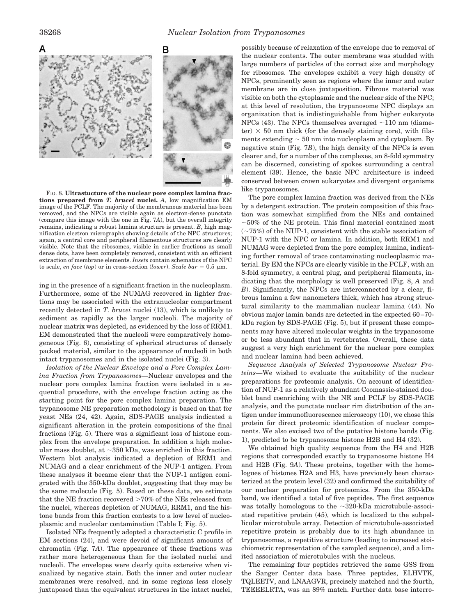

FIG. 8. **Ultrastucture of the nuclear pore complex lamina fractions prepared from** *T. brucei* **nuclei.** *A*, low magnification EM image of the PCLF. The majority of the membranous material has been removed, and the NPCs are visible again as electron-dense punctata (compare this image with the one in Fig. 7*A*), but the overall integrity remains, indicating a robust lamina structure is present. *B*, high magnification electron micrographs showing details of the NPC structures; again, a central core and peripheral filamentous structures are clearly visible. Note that the ribosomes, visible in earlier fractions as small dense dots, have been completely removed, consistent with an efficient extraction of membrane elements. *Insets* contain schematics of the NPC to scale, *en face* (*top*) or in cross-section (*lower*). *Scale bar* =  $0.5 \mu$ m.

ing in the presence of a significant fraction in the nucleoplasm. Furthermore, some of the NUMAG recovered in lighter fractions may be associated with the extranucleolar compartment recently detected in *T. brucei* nuclei (13), which is unlikely to sediment as rapidly as the larger nucleoli. The majority of nuclear matrix was depleted, as evidenced by the loss of RRM1. EM demonstrated that the nucleoli were comparatively homogeneous (Fig. 6), consisting of spherical structures of densely packed material, similar to the appearance of nucleoli in both intact trypanosomes and in the isolated nuclei (Fig. 3).

*Isolation of the Nuclear Envelope and a Pore Complex Lamina Fraction from Trypanosomes—*Nuclear envelopes and the nuclear pore complex lamina fraction were isolated in a sequential procedure, with the envelope fraction acting as the starting point for the pore complex lamina preparation. The trypanosome NE preparation methodology is based on that for yeast NEs (24, 42). Again, SDS-PAGE analysis indicated a significant alteration in the protein compositions of the final fractions (Fig. 5). There was a significant loss of histone complex from the envelope preparation. In addition a high molecular mass doublet, at  $\sim$ 350 kDa, was enriched in this fraction. Western blot analysis indicated a depletion of RRM1 and NUMAG and a clear enrichment of the NUP-1 antigen. From these analyses it became clear that the NUP-1 antigen comigrated with the 350-kDa doublet, suggesting that they may be the same molecule (Fig. 5). Based on these data, we estimate that the NE fraction recovered  $>70\%$  of the NEs released from the nuclei, whereas depletion of NUMAG, RRM1, and the histone bands from this fraction contests to a low level of nucleoplasmic and nucleolar contamination (Table I; Fig. 5).

Isolated NEs frequently adopted a characteristic C profile in EM sections (24), and were devoid of significant amounts of chromatin (Fig. 7*A*). The appearance of these fractions was rather more heterogeneous than for the isolated nuclei and nucleoli. The envelopes were clearly quite extensive when visualized by negative stain. Both the inner and outer nuclear membranes were resolved, and in some regions less closely juxtaposed than the equivalent structures in the intact nuclei, possibly because of relaxation of the envelope due to removal of the nuclear contents. The outer membrane was studded with large numbers of particles of the correct size and morphology for ribosomes. The envelopes exhibit a very high density of NPCs, prominently seen as regions where the inner and outer membrane are in close juxtaposition. Fibrous material was visible on both the cytoplasmic and the nuclear side of the NPC; at this level of resolution, the trypanosome NPC displays an organization that is indistinguishable from higher eukaryote NPCs (43). The NPCs themselves averaged  $\sim$ 110 nm (diame- $\text{ter}$ )  $\times$  50 nm thick (for the densely staining core), with filaments extending  $\sim$  50 nm into nucleoplasm and cytoplasm. By negative stain (Fig. 7*B*), the high density of the NPCs is even clearer and, for a number of the complexes, an 8-fold symmetry can be discerned, consisting of spokes surrounding a central element (39). Hence, the basic NPC architecture is indeed conserved between crown eukaryotes and divergent organisms like trypanosomes.

The pore complex lamina fraction was derived from the NEs by a detergent extraction. The protein composition of this fraction was somewhat simplified from the NEs and contained  $~10\%$  of the NE protein. This final material contained most  $(\sim 75%)$  of the NUP-1, consistent with the stable association of NUP-1 with the NPC or lamina. In addition, both RRM1 and NUMAG were depleted from the pore complex lamina, indicating further removal of trace contaminating nucleoplasmic material. By EM the NPCs are clearly visible in the PCLF, with an 8-fold symmetry, a central plug, and peripheral filaments, indicating that the morphology is well preserved (Fig. 8, *A* and *B*). Significantly, the NPCs are interconnected by a clear, fibrous lamina a few nanometers thick, which has strong structural similarity to the mammalian nuclear lamina (44). No obvious major lamin bands are detected in the expected 60–70 kDa region by SDS-PAGE (Fig. 5), but if present these components may have altered molecular weights in the trypanosome or be less abundant that in vertebrates. Overall, these data suggest a very high enrichment for the nuclear pore complex and nuclear lamina had been achieved.

*Sequence Analysis of Selected Trypanosome Nuclear Proteins—*We wished to evaluate the suitability of the nuclear preparations for proteomic analysis. On account of identification of NUP-1 as a relatively abundant Coomassie-stained doublet band coenriching with the NE and PCLF by SDS-PAGE analysis, and the punctate nuclear rim distribution of the antigen under immunofluorescence microscopy (10), we chose this protein for direct proteomic identification of nuclear components. We also excised two of the putative histone bands (Fig. 1), predicted to be trypanosome histone H2B and H4 (32).

We obtained high quality sequence from the H4 and H2B regions that corresponded exactly to trypanosome histone H4 and H2B (Fig. 9*A*). These proteins, together with the homologues of histones H2A and H3, have previously been characterized at the protein level (32) and confirmed the suitability of our nuclear preparation for proteomics. From the 350-kDa band, we identified a total of five peptides. The first sequence was totally homologous to the  $\sim$ 320-kDa microtubule-associated repetitive protein (45), which is localized to the subpellicular microtubule array. Detection of microtubule-associated repetitive protein is probably due to its high abundance in trypanosomes, a repetitive structure (leading to increased stoichiometric representation of the sampled sequence), and a limited association of microtubules with the nucleus.

The remaining four peptides retrieved the same GSS from the Sanger Center data base. Three peptides, ELHVTK, TQLEETV, and LNAAGVR, precisely matched and the fourth, TEEEELRTA, was an 89% match. Further data base interro-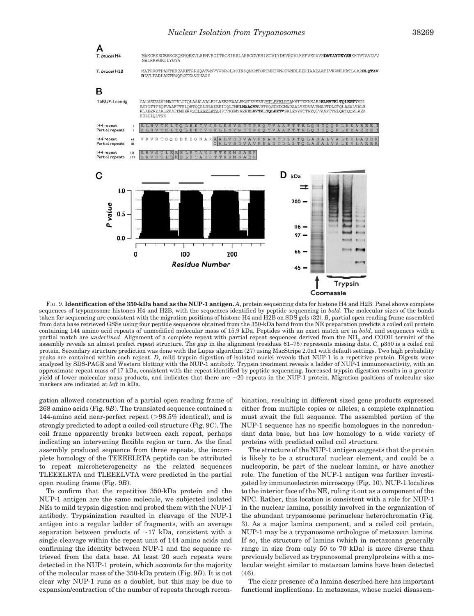

FIG. 9. **Identification of the 350-kDa band as the NUP-1 antigen.** *A*, protein sequencing data for histone H4 and H2B. Panel shows complete sequences of trypanosome histones H4 and H2B, with the sequences identified by peptide sequencing in *bold*. The molecular sizes of the bands taken for sequencing are consistent with the migration positions of histone H4 and H2B on SDS gels (32). *B*, partial open reading frame assembled from data base retrieved GSSs using four peptide sequences obtained from the 350-kDa band from the NE preparation predicts a coiled coil protein containing 144 amino acid repeats of unmodified molecular mass of 15.9 kDa. Peptides with an exact match are in *bold*, and sequences with a partial match are *underlined*. Alignment of a complete repeat with partial repeat sequences derived from the NH<sub>2</sub> and COOH termini of the assembly reveals an almost prefect repeat structure. The *gap* in the alignment (residues 61–75) represents missing data. *C*, p350 is a coiled coil protein. Secondary structure prediction was done with the Lupas algorithm (27) using MacStripe 2.0a1 with default settings. Two high probability peaks are contained within each repeat. *D*, mild trypsin digestion of isolated nuclei reveals that NUP-1 is a repetitive protein. Digests were analyzed by SDS-PAGE and Western blotting with the NUP-1 antibody. Trypsin treatment reveals a ladder of NUP-1 immunoreactivity, with an approximate repeat mass of 17 kDa, consistent with the repeat identified by peptide sequencing. Increased trypsin digestion results in a greater yield of lower molecular mass products, and indicates that there are  $\sim$  20 repeats in the NUP-1 protein. Migration positions of molecular size markers are indicated at *left* in kDa.

gation allowed construction of a partial open reading frame of 268 amino acids (Fig. 9*B*). The translated sequence contained a 144-amino acid near-perfect repeat  $(>98.5\%$  identical), and is strongly predicted to adopt a coiled-coil structure (Fig. 9*C*). The coil frame apparently breaks between each repeat, perhaps indicating an intervening flexible region or turn. As the final assembly produced sequence from three repeats, the incomplete homology of the TEEEELRTA peptide can be attributed to repeat microheterogeneity as the related sequences TLEEELRTA and TLEEELVTA were predicted in the partial open reading frame (Fig. 9*B*).

To confirm that the repetitive 350-kDa protein and the NUP-1 antigen are the same molecule, we subjected isolated NEs to mild trypsin digestion and probed them with the NUP-1 antibody. Trypsinization resulted in cleavage of the NUP-1 antigen into a regular ladder of fragments, with an average separation between products of  $\sim$ 17 kDa, consistent with a single cleavage within the repeat unit of 144 amino acids and confirming the identity between NUP-1 and the sequence retrieved from the data base. At least 20 such repeats were detected in the NUP-1 protein, which accounts for the majority of the molecular mass of the 350-kDa protein (Fig. 9*D*). It is not clear why NUP-1 runs as a doublet, but this may be due to expansion/contraction of the number of repeats through recombination, resulting in different sized gene products expressed either from multiple copies or alleles; a complete explanation must await the full sequence. The assembled portion of the NUP-1 sequence has no specific homologues in the nonredundant data base, but has low homology to a wide variety of proteins with predicted coiled coil structure.

The structure of the NUP-1 antigen suggests that the protein is likely to be a structural nuclear element, and could be a nucleoporin, be part of the nuclear lamina, or have another role. The function of the NUP-1 antigen was further investigated by immunoelectron microscopy (Fig. 10). NUP-1 localizes to the interior face of the NE, ruling it out as a component of the NPC. Rather, this location is consistent with a role for NUP-1 in the nuclear lamina, possibly involved in the organization of the abundant trypanosome perinuclear heterochromatin (Fig. 3). As a major lamina component, and a coiled coil protein, NUP-1 may be a trypanosome orthologue of metazoan lamins. If so, the structure of lamins (which in metazoans generally range in size from only 50 to 70 kDa) is more diverse than previously believed as trypanosomal prenylproteins with a molecular weight similar to metazoan lamins have been detected (46).

The clear presence of a lamina described here has important functional implications. In metazoans, whose nuclei disassem-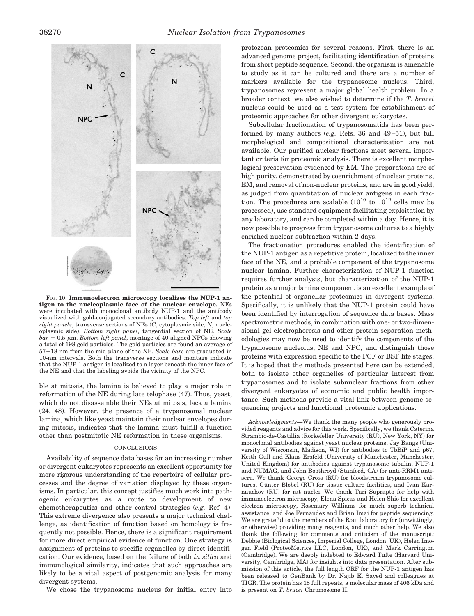

FIG. 10. **Immunoelectron microscopy localizes the NUP-1 antigen to the nucleoplasmic face of the nuclear envelope.** NEs were incubated with monoclonal antibody NUP-1 and the antibody visualized with gold-conjugated secondary antibodies. *Top left* and *top right panels*, transverse sections of NEs (*C*, cytoplasmic side; *N*, nucleoplasmic side). *Bottom right panel*, tangential section of NE. *Scale*  $bar = 0.5 \mu m$ . *Bottom left panel*, montage of 40 aligned NPCs showing a total of 198 gold particles. The gold particles are found an average of 57+18 nm from the mid-plane of the NE. *Scale bars* are graduated in 10-nm intervals. Both the transverse sections and montage indicate that the NUP-1 antigen is localized to a layer beneath the inner face of the NE and that the labeling avoids the vicinity of the NPC.

ble at mitosis, the lamina is believed to play a major role in reformation of the NE during late telophase (47). Thus, yeast, which do not disassemble their NEs at mitosis, lack a lamina (24, 48). However, the presence of a trypanosomal nuclear lamina, which like yeast maintain their nuclear envelopes during mitosis, indicates that the lamina must fulfill a function other than postmitotic NE reformation in these organisms.

## **CONCLUSIONS**

Availability of sequence data bases for an increasing number or divergent eukaryotes represents an excellent opportunity for more rigorous understanding of the repertoire of cellular processes and the degree of variation displayed by these organisms. In particular, this concept justifies much work into pathogenic eukaryotes as a route to development of new chemotherapeutics and other control strategies (*e.g.* Ref. 4). This extreme divergence also presents a major technical challenge, as identification of function based on homology is frequently not possible. Hence, there is a significant requirement for more direct empirical evidence of function. One strategy is assignment of proteins to specific organelles by direct identification. Our evidence, based on the failure of both *in silico* and immunological similarity, indicates that such approaches are likely to be a vital aspect of postgenomic analysis for many divergent systems.

We chose the trypanosome nucleus for initial entry into

protozoan proteomics for several reasons. First, there is an advanced genome project, facilitating identification of proteins from short peptide sequence. Second, the organism is amenable to study as it can be cultured and there are a number of markers available for the trypanosome nucleus. Third, trypanosomes represent a major global health problem. In a broader context, we also wished to determine if the *T. brucei* nucleus could be used as a test system for establishment of proteomic approaches for other divergent eukaryotes.

Subcellular fractionation of trypanosomatids has been performed by many authors (*e.g.* Refs. 36 and 49–51), but full morphological and compositional characterization are not available. Our purified nuclear fractions meet several important criteria for proteomic analysis. There is excellent morphological preservation evidenced by EM. The preparations are of high purity, demonstrated by coenrichment of nuclear proteins, EM, and removal of non-nuclear proteins, and are in good yield, as judged from quantitation of nuclear antigens in each fraction. The procedures are scalable  $(10^{10}$  to  $10^{12}$  cells may be processed), use standard equipment facilitating exploitation by any laboratory, and can be completed within a day. Hence, it is now possible to progress from trypanosome cultures to a highly enriched nuclear subfraction within 2 days.

The fractionation procedures enabled the identification of the NUP-1 antigen as a repetitive protein, localized to the inner face of the NE, and a probable component of the trypanosome nuclear lamina. Further characterization of NUP-1 function requires further analysis, but characterization of the NUP-1 protein as a major lamina component is an excellent example of the potential of organellar proteomics in divergent systems. Specifically, it is unlikely that the NUP-1 protein could have been identified by interrogation of sequence data bases. Mass spectrometric methods, in combination with one- or two-dimensional gel electrophoresis and other protein separation methodologies may now be used to identify the components of the trypanosome nucleolus, NE and NPC, and distinguish those proteins with expression specific to the PCF or BSF life stages. It is hoped that the methods presented here can be extended, both to isolate other organelles of particular interest from trypanosomes and to isolate subnuclear fractions from other divergent eukaryotes of economic and public health importance. Such methods provide a vital link between genome sequencing projects and functional proteomic applications.

*Acknowledgments—*We thank the many people who generously provided reagents and advice for this work. Specifically, we thank Caterina Strambio-de-Castillia (Rockefeller University (RU), New York, NY) for monoclonal antibodies against yeast nuclear proteins, Jay Bangs (University of Wisconsin, Madison, WI) for antibodies to TbBiP and p67, Keith Gull and Klaus Ersfeld (University of Manchester, Manchester, United Kingdom) for antibodies against trypanosome tubulin, NUP-1 and NUMAG, and John Boothroyd (Stanford, CA) for anti-RRM1 antisera. We thank George Cross (RU) for bloodstream trypanosome cultures, Günter Blobel (RU) for tissue culture facilities, and Ivan Karnauchov (RU) for rat nuclei. We thank Tari Suprapto for help with immunoelectron microscopy, Elena Spicas and Helen Shio for excellent electron microscopy, Rosemary Williams for much superb technical assistance, and Joe Fernandez and Brian Imai for peptide sequencing. We are grateful to the members of the Rout laboratory for (unwittingly, or otherwise) providing many reagents, and much other help. We also thank the following for comments and criticism of the manuscript: Debbie (Biological Sciences, Imperial College, London, UK), Helen Imogen Field (ProteoMetrics LLC, London, UK), and Mark Carrington (Cambridge). We are deeply indebted to Edward Tufte (Harvard University, Cambridge, MA) for insights into data presentation. After submission of this article, the full length ORF for the NUP-1 antigen has been released to GenBank by Dr. Najib El Sayed and colleagues at TIGR. The protein has 18 full repeats, a molecular mass of 406 kDa and is present on *T. brucei* Chromosome II.